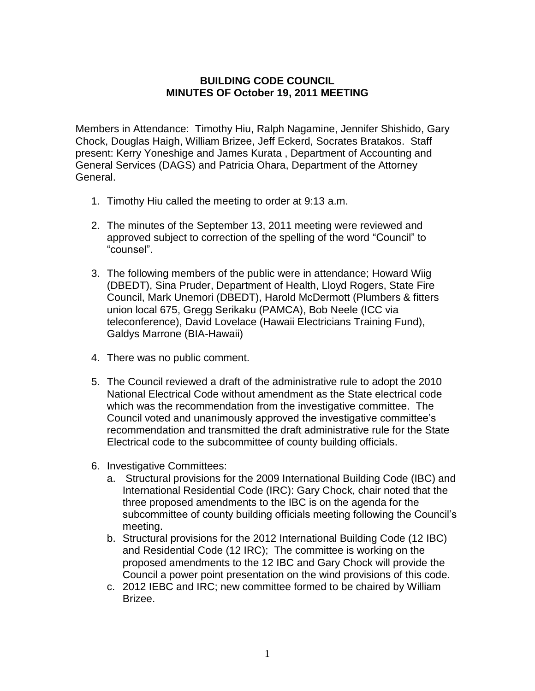## **BUILDING CODE COUNCIL MINUTES OF October 19, 2011 MEETING**

Members in Attendance: Timothy Hiu, Ralph Nagamine, Jennifer Shishido, Gary Chock, Douglas Haigh, William Brizee, Jeff Eckerd, Socrates Bratakos. Staff present: Kerry Yoneshige and James Kurata , Department of Accounting and General Services (DAGS) and Patricia Ohara, Department of the Attorney General.

- 1. Timothy Hiu called the meeting to order at 9:13 a.m.
- 2. The minutes of the September 13, 2011 meeting were reviewed and approved subject to correction of the spelling of the word "Council" to "counsel".
- 3. The following members of the public were in attendance; Howard Wiig (DBEDT), Sina Pruder, Department of Health, Lloyd Rogers, State Fire Council, Mark Unemori (DBEDT), Harold McDermott (Plumbers & fitters union local 675, Gregg Serikaku (PAMCA), Bob Neele (ICC via teleconference), David Lovelace (Hawaii Electricians Training Fund), Galdys Marrone (BIA-Hawaii)
- 4. There was no public comment.
- 5. The Council reviewed a draft of the administrative rule to adopt the 2010 National Electrical Code without amendment as the State electrical code which was the recommendation from the investigative committee. The Council voted and unanimously approved the investigative committee's recommendation and transmitted the draft administrative rule for the State Electrical code to the subcommittee of county building officials.
- 6. Investigative Committees:
	- a. Structural provisions for the 2009 International Building Code (IBC) and International Residential Code (IRC): Gary Chock, chair noted that the three proposed amendments to the IBC is on the agenda for the subcommittee of county building officials meeting following the Council's meeting.
	- b. Structural provisions for the 2012 International Building Code (12 IBC) and Residential Code (12 IRC); The committee is working on the proposed amendments to the 12 IBC and Gary Chock will provide the Council a power point presentation on the wind provisions of this code.
	- c. 2012 IEBC and IRC; new committee formed to be chaired by William Brizee.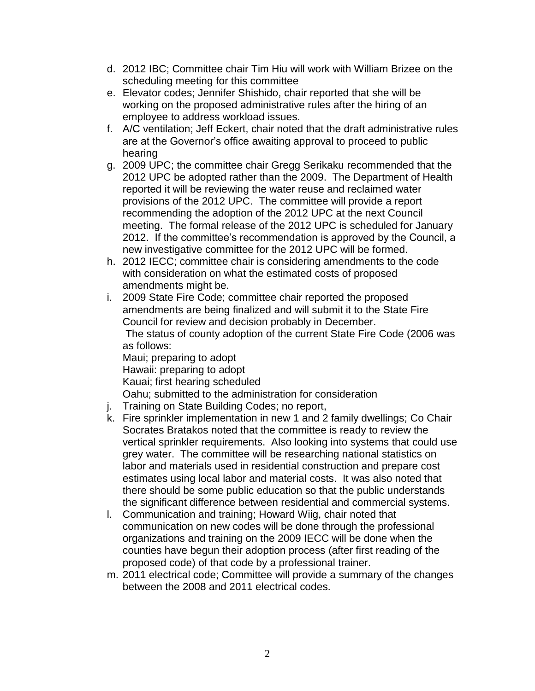- d. 2012 IBC; Committee chair Tim Hiu will work with William Brizee on the scheduling meeting for this committee
- e. Elevator codes; Jennifer Shishido, chair reported that she will be working on the proposed administrative rules after the hiring of an employee to address workload issues.
- f. A/C ventilation; Jeff Eckert, chair noted that the draft administrative rules are at the Governor's office awaiting approval to proceed to public hearing
- g. 2009 UPC; the committee chair Gregg Serikaku recommended that the 2012 UPC be adopted rather than the 2009. The Department of Health reported it will be reviewing the water reuse and reclaimed water provisions of the 2012 UPC. The committee will provide a report recommending the adoption of the 2012 UPC at the next Council meeting. The formal release of the 2012 UPC is scheduled for January 2012. If the committee's recommendation is approved by the Council, a new investigative committee for the 2012 UPC will be formed.
- h. 2012 IECC; committee chair is considering amendments to the code with consideration on what the estimated costs of proposed amendments might be.
- i. 2009 State Fire Code; committee chair reported the proposed amendments are being finalized and will submit it to the State Fire Council for review and decision probably in December. The status of county adoption of the current State Fire Code (2006 was as follows: Maui; preparing to adopt Hawaii: preparing to adopt

Kauai; first hearing scheduled

Oahu; submitted to the administration for consideration

- j. Training on State Building Codes; no report,
- k. Fire sprinkler implementation in new 1 and 2 family dwellings; Co Chair Socrates Bratakos noted that the committee is ready to review the vertical sprinkler requirements. Also looking into systems that could use grey water. The committee will be researching national statistics on labor and materials used in residential construction and prepare cost estimates using local labor and material costs. It was also noted that there should be some public education so that the public understands the significant difference between residential and commercial systems.
- l. Communication and training; Howard Wiig, chair noted that communication on new codes will be done through the professional organizations and training on the 2009 IECC will be done when the counties have begun their adoption process (after first reading of the proposed code) of that code by a professional trainer.
- m. 2011 electrical code; Committee will provide a summary of the changes between the 2008 and 2011 electrical codes.